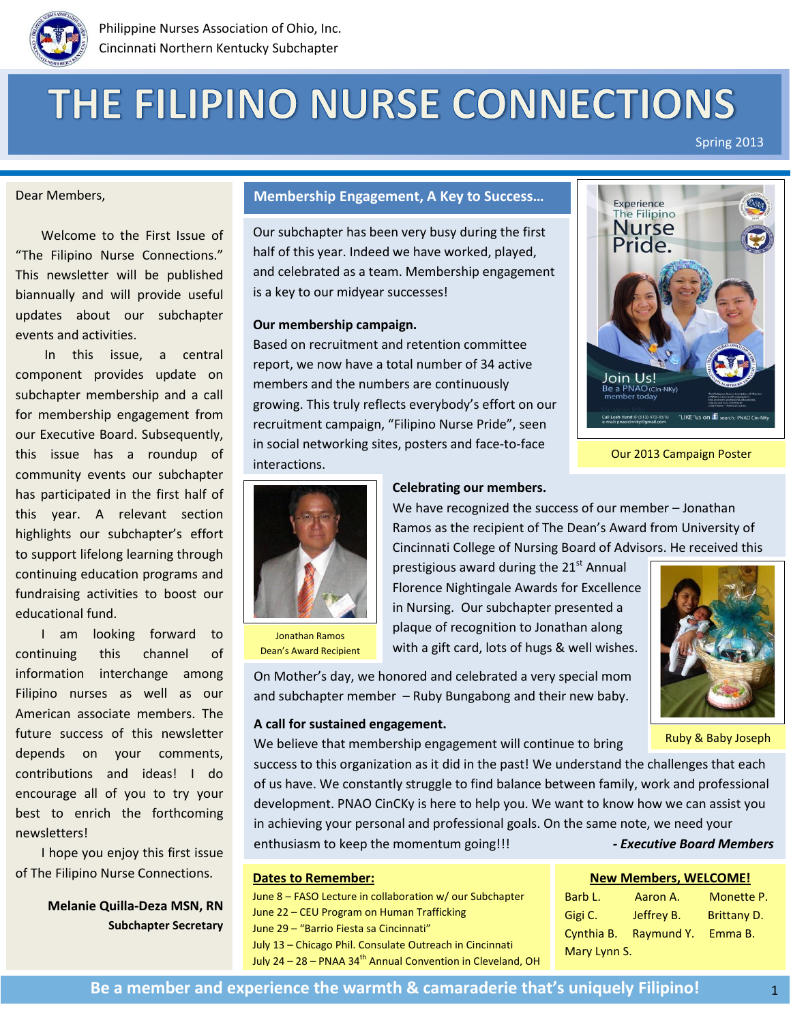

# THE FILIPINO NURSE CONNECTIONS

Spring 2013

#### Dear Members,

 Welcome to the First Issue of "The Filipino Nurse Connections." This newsletter will be published biannually and will provide useful updates about our subchapter events and activities.

 [In this issue,](https://www.facebook.com/photo.php?fbid=10152833791110430&set=p.10152833791110430&type=1&relevant_count=1) a central component provides update on subchapter membership and a call for membership engagement from our Executive Board. Subsequently, this issue has a roundup of community events our subchapter has participated in the first half of this year. A relevant section highlights our subchapter's effort to support lifelong learning through continuing education programs and fundraising activities to boost our educational fund.

 I am looking forward to continuing this channel of information interchange among Filipino nurses as well as our American associate members. The future success of this newsletter depends on your comments, contributions and ideas! I do encourage all of you to try your best to enrich the forthcoming newsletters!

 I hope you enjoy this first issue of The Filipino Nurse Connections.

> **Melanie Quilla-Deza MSN, RN Subchapter Secretary**

# **Membership Engagement, A Key to Success…**

Our subchapter has been very busy during the first half of this year. Indeed we have worked, played, and celebrated as a team. Membership engagement is a key to our midyear successes!

#### **Our membership campaign.**

Based on recruitment and retention committee report, we now have a total number of 34 active members and the numbers are continuously growing. This truly reflects everybody's effort on our recruitment campaign, "Filipino Nurse Pride", seen in social networking sites, posters and face-to-face interactions.



Our 2013 Campaign Poster



Jonathan Ramos Dean's Award Recipient

#### **Celebrating our members.**

We have recognized the success of our member – Jonathan Ramos as the recipient of The Dean's Award from University of Cincinnati College of Nursing Board of Advisors. He received this

prestigious award during the  $21<sup>st</sup>$  Annual Florence Nightingale Awards for Excellence in Nursing. Our subchapter presented a plaque of recognition to Jonathan along with a gift card, lots of hugs & well wishes.



Ruby & Baby Joseph

On Mother's day, we honored and celebrated a very special mom and subchapter member – Ruby Bungabong and their new baby.

#### **A call for sustained engagement.**

We believe that membership engagement will continue to bring

success to this organization as it did in the past! We understand the challenges that each of us have. We constantly struggle to find balance between family, work and professional development. PNAO CinCKy is here to help you. We want to know how we can assist you in achieving your personal and professional goals. On the same note, we need your enthusiasm to keep the momentum going!!! **-** *Executive Board Members* 

#### **Dates to Remember:**

June 8 – FASO Lecture in collaboration w/ our Subchapter June 22 – CEU Program on Human Trafficking June 29 – "Barrio Fiesta sa Cincinnati" July 13 – Chicago Phil. Consulate Outreach in Cincinnati July 24 – 28 – PNAA 34<sup>th</sup> Annual Convention in Cleveland, OH

# **New Members, WELCOME!**

| Barb L.      | Aaron A.   | Monette P.         |
|--------------|------------|--------------------|
| Gigi C.      | Jeffrey B. | <b>Brittany D.</b> |
| Cynthia B.   | Raymund Y. | Emma B.            |
| Mary Lynn S. |            |                    |

1